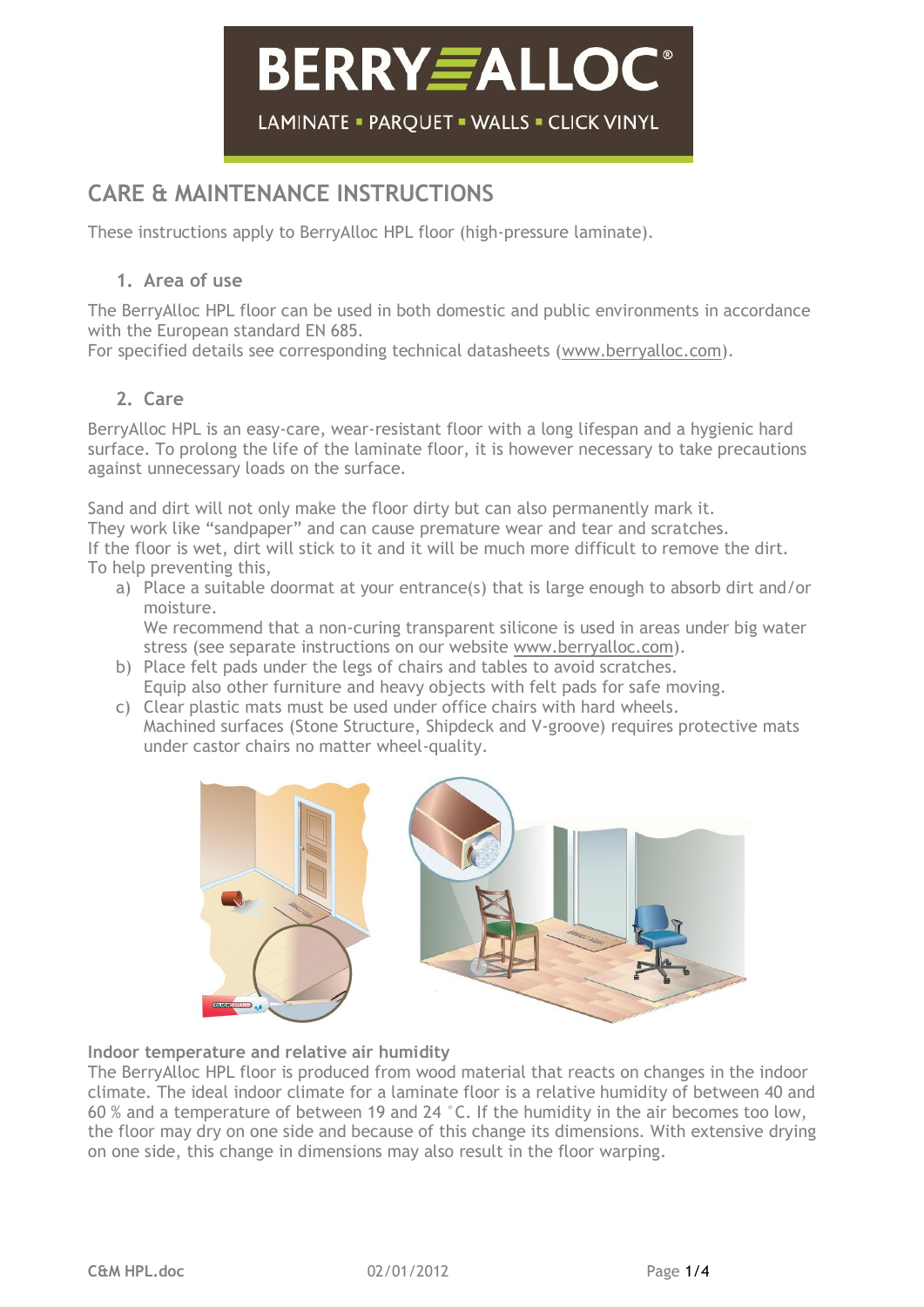# **BERRY FALLOC**® LAMINATE - PAROUET - WALLS - CLICK VINYL

### **CARE & MAINTENANCE INSTRUCTIONS**

These instructions apply to BerryAlloc HPL floor (high-pressure laminate).

#### **1. Area of use**

The BerryAlloc HPL floor can be used in both domestic and public environments in accordance with the European standard EN 685.

For specified details see corresponding technical datasheets [\(www.berryalloc.com\)](http://www.berryalloc.com/).

#### **2. Care**

BerryAlloc HPL is an easy-care, wear-resistant floor with a long lifespan and a hygienic hard surface. To prolong the life of the laminate floor, it is however necessary to take precautions against unnecessary loads on the surface.

Sand and dirt will not only make the floor dirty but can also permanently mark it. They work like "sandpaper" and can cause premature wear and tear and scratches. If the floor is wet, dirt will stick to it and it will be much more difficult to remove the dirt. To help preventing this,

- a) Place a suitable doormat at your entrance(s) that is large enough to absorb dirt and/or moisture. We recommend that a non-curing transparent silicone is used in areas under big water stress (see separate instructions on our website [www.berryalloc.com\)](http://www.berryalloc.com/).
- b) Place felt pads under the legs of chairs and tables to avoid scratches. Equip also other furniture and heavy objects with felt pads for safe moving.
- c) Clear plastic mats must be used under office chairs with hard wheels. Machined surfaces (Stone Structure, Shipdeck and V-groove) requires protective mats under castor chairs no matter wheel-quality.



#### **Indoor temperature and relative air humidity**

The BerryAlloc HPL floor is produced from wood material that reacts on changes in the indoor climate. The ideal indoor climate for a laminate floor is a relative humidity of between 40 and 60 % and a temperature of between 19 and 24 °C. If the humidity in the air becomes too low, the floor may dry on one side and because of this change its dimensions. With extensive drying on one side, this change in dimensions may also result in the floor warping.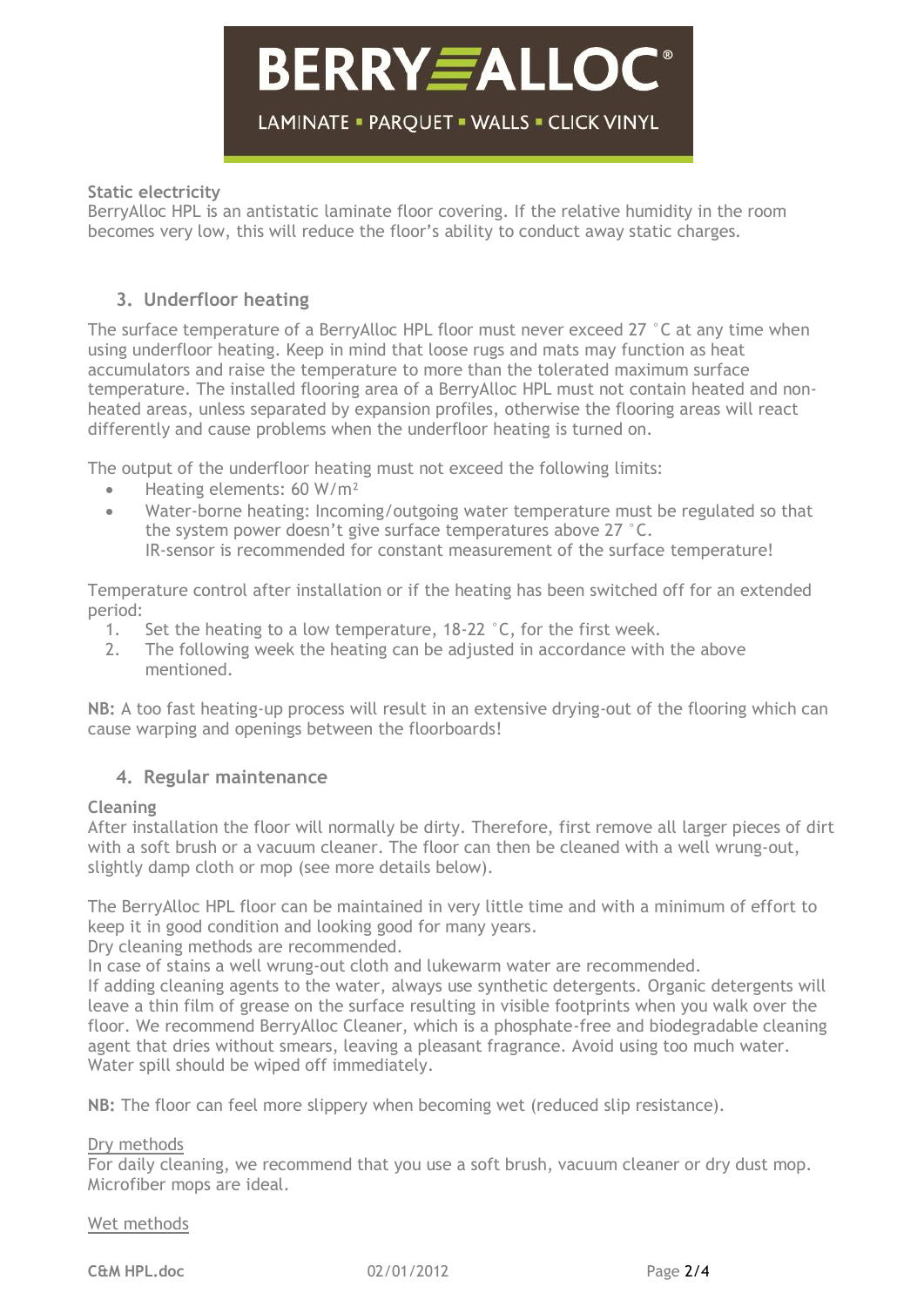### **BERRY EALLOC** LAMINATE = PARQUET = WALLS = CLICK VINYL

#### **Static electricity**

BerryAlloc HPL is an antistatic laminate floor covering. If the relative humidity in the room becomes very low, this will reduce the floor's ability to conduct away static charges.

#### **3. Underfloor heating**

The surface temperature of a BerryAlloc HPL floor must never exceed 27 °C at any time when using underfloor heating. Keep in mind that loose rugs and mats may function as heat accumulators and raise the temperature to more than the tolerated maximum surface temperature. The installed flooring area of a BerryAlloc HPL must not contain heated and nonheated areas, unless separated by expansion profiles, otherwise the flooring areas will react differently and cause problems when the underfloor heating is turned on.

The output of the underfloor heating must not exceed the following limits:

- Heating elements: 60 W/m<sup>2</sup>
- Water-borne heating: Incoming/outgoing water temperature must be regulated so that the system power doesn't give surface temperatures above 27 °C. IR-sensor is recommended for constant measurement of the surface temperature!

Temperature control after installation or if the heating has been switched off for an extended period:

- 1. Set the heating to a low temperature, 18-22 °C, for the first week.
- 2. The following week the heating can be adjusted in accordance with the above mentioned.

**NB:** A too fast heating-up process will result in an extensive drying-out of the flooring which can cause warping and openings between the floorboards!

#### **4. Regular maintenance**

#### **Cleaning**

After installation the floor will normally be dirty. Therefore, first remove all larger pieces of dirt with a soft brush or a vacuum cleaner. The floor can then be cleaned with a well wrung-out, slightly damp cloth or mop (see more details below).

The BerryAlloc HPL floor can be maintained in very little time and with a minimum of effort to keep it in good condition and looking good for many years.

Dry cleaning methods are recommended.

In case of stains a well wrung-out cloth and lukewarm water are recommended.

If adding cleaning agents to the water, always use synthetic detergents. Organic detergents will leave a thin film of grease on the surface resulting in visible footprints when you walk over the floor. We recommend BerryAlloc Cleaner, which is a phosphate-free and biodegradable cleaning agent that dries without smears, leaving a pleasant fragrance. Avoid using too much water. Water spill should be wiped off immediately.

**NB:** The floor can feel more slippery when becoming wet (reduced slip resistance).

#### Dry methods

For daily cleaning, we recommend that you use a soft brush, vacuum cleaner or dry dust mop. Microfiber mops are ideal.

#### Wet methods

**C&M HPL.doc** 02/01/2012 Page 2/4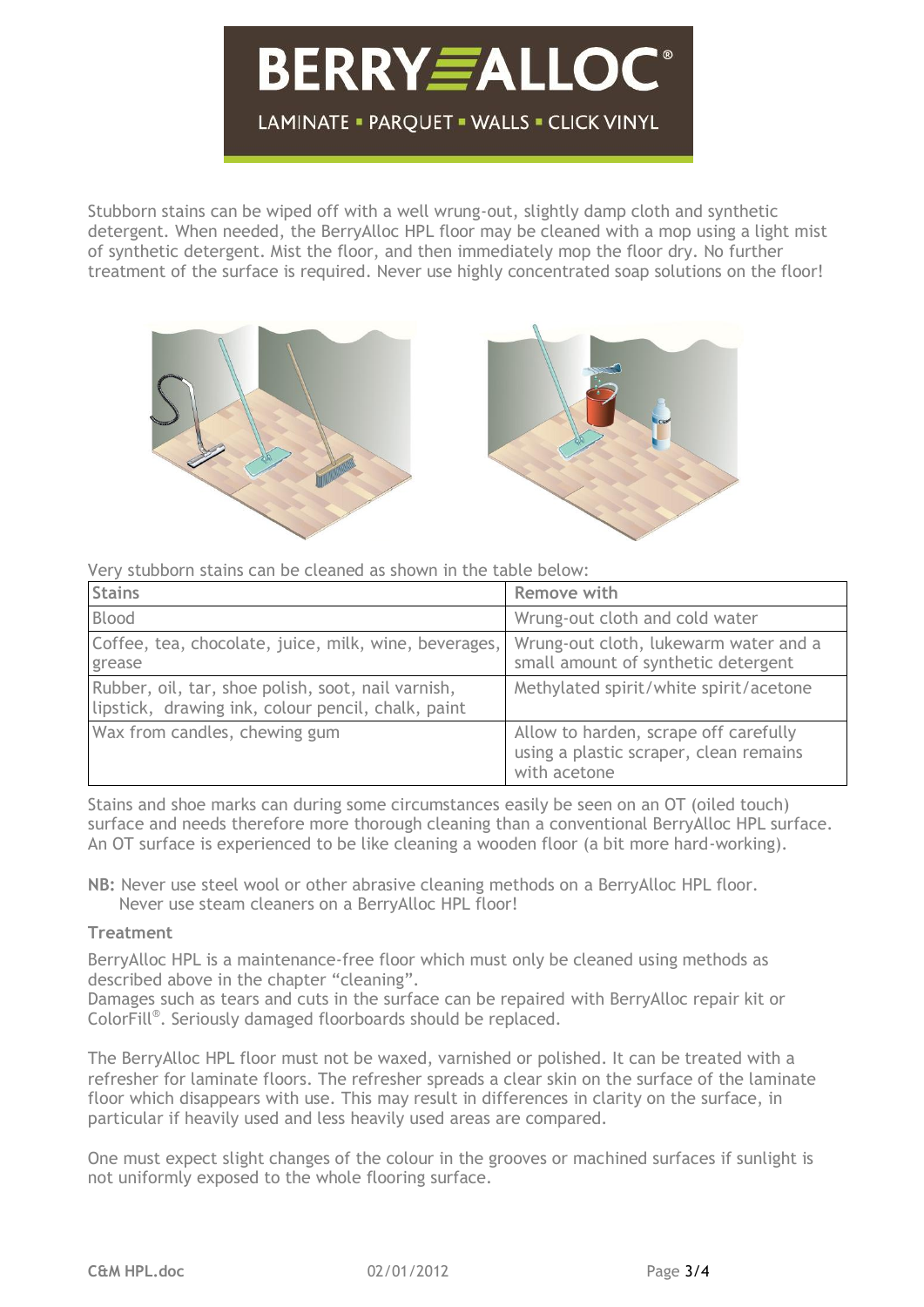## **BERRY***E***ALLOC** LAMINATE = PARQUET = WALLS = CLICK VINYL

Stubborn stains can be wiped off with a well wrung-out, slightly damp cloth and synthetic detergent. When needed, the BerryAlloc HPL floor may be cleaned with a mop using a light mist of synthetic detergent. Mist the floor, and then immediately mop the floor dry. No further treatment of the surface is required. Never use highly concentrated soap solutions on the floor!



Very stubborn stains can be cleaned as shown in the table below:

| <b>Stains</b>                                                                                            | Remove with                                                                                     |
|----------------------------------------------------------------------------------------------------------|-------------------------------------------------------------------------------------------------|
| Blood                                                                                                    | Wrung-out cloth and cold water                                                                  |
| Coffee, tea, chocolate, juice, milk, wine, beverages,<br>grease                                          | Wrung-out cloth, lukewarm water and a<br>small amount of synthetic detergent                    |
| Rubber, oil, tar, shoe polish, soot, nail varnish,<br>lipstick, drawing ink, colour pencil, chalk, paint | Methylated spirit/white spirit/acetone                                                          |
| Wax from candles, chewing gum                                                                            | Allow to harden, scrape off carefully<br>using a plastic scraper, clean remains<br>with acetone |

Stains and shoe marks can during some circumstances easily be seen on an OT (oiled touch) surface and needs therefore more thorough cleaning than a conventional BerryAlloc HPL surface. An OT surface is experienced to be like cleaning a wooden floor (a bit more hard-working).

**NB:** Never use steel wool or other abrasive cleaning methods on a BerryAlloc HPL floor. Never use steam cleaners on a BerryAlloc HPL floor!

#### **Treatment**

BerryAlloc HPL is a maintenance-free floor which must only be cleaned using methods as described above in the chapter "cleaning".

Damages such as tears and cuts in the surface can be repaired with BerryAlloc repair kit or ColorFill® . Seriously damaged floorboards should be replaced.

The BerryAlloc HPL floor must not be waxed, varnished or polished. It can be treated with a refresher for laminate floors. The refresher spreads a clear skin on the surface of the laminate floor which disappears with use. This may result in differences in clarity on the surface, in particular if heavily used and less heavily used areas are compared.

One must expect slight changes of the colour in the grooves or machined surfaces if sunlight is not uniformly exposed to the whole flooring surface.